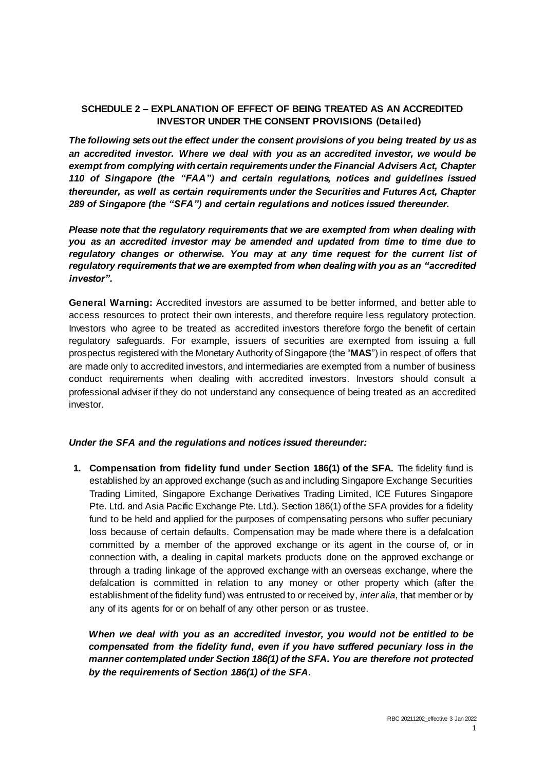## **SCHEDULE 2 – EXPLANATION OF EFFECT OF BEING TREATED AS AN ACCREDITED INVESTOR UNDER THE CONSENT PROVISIONS (Detailed)**

*The following setsout the effect under the consent provisions of you being treated by us as an accredited investor. Where we deal with you as an accredited investor, we would be exempt from complying with certain requirements under the Financial Advisers Act, Chapter 110 of Singapore (the "FAA") and certain regulations, notices and guidelines issued thereunder, as well as certain requirements under the Securities and Futures Act, Chapter 289 of Singapore (the "SFA") and certain regulations and notices issued thereunder.*

*Please note that the regulatory requirements that we are exempted from when dealing with you as an accredited investor may be amended and updated from time to time due to regulatory changes or otherwise. You may at any time request for the current list of regulatory requirements that we are exempted from when dealing with you as an "accredited investor".*

**General Warning:** Accredited investors are assumed to be better informed, and better able to access resources to protect their own interests, and therefore require less regulatory protection. Investors who agree to be treated as accredited investors therefore forgo the benefit of certain regulatory safeguards. For example, issuers of securities are exempted from issuing a full prospectus registered with the Monetary Authority of Singapore (the "**MAS**") in respect of offers that are made only to accredited investors, and intermediaries are exempted from a number of business conduct requirements when dealing with accredited investors. Investors should consult a professional adviser if they do not understand any consequence of being treated as an accredited investor.

## *Under the SFA and the regulations and notices issued thereunder:*

**1. Compensation from fidelity fund under Section 186(1) of the SFA.** The fidelity fund is established by an approved exchange (such as and including Singapore Exchange Securities Trading Limited, Singapore Exchange Derivatives Trading Limited, ICE Futures Singapore Pte. Ltd. and Asia Pacific Exchange Pte. Ltd.). Section 186(1) of the SFA provides for a fidelity fund to be held and applied for the purposes of compensating persons who suffer pecuniary loss because of certain defaults. Compensation may be made where there is a defalcation committed by a member of the approved exchange or its agent in the course of, or in connection with, a dealing in capital markets products done on the approved exchange or through a trading linkage of the approved exchange with an overseas exchange, where the defalcation is committed in relation to any money or other property which (after the establishment of the fidelity fund) was entrusted to or received by, *inter alia*, that member or by any of its agents for or on behalf of any other person or as trustee.

*When we deal with you as an accredited investor, you would not be entitled to be compensated from the fidelity fund, even if you have suffered pecuniary loss in the manner contemplated under Section 186(1) of the SFA. You are therefore not protected by the requirements of Section 186(1) of the SFA.*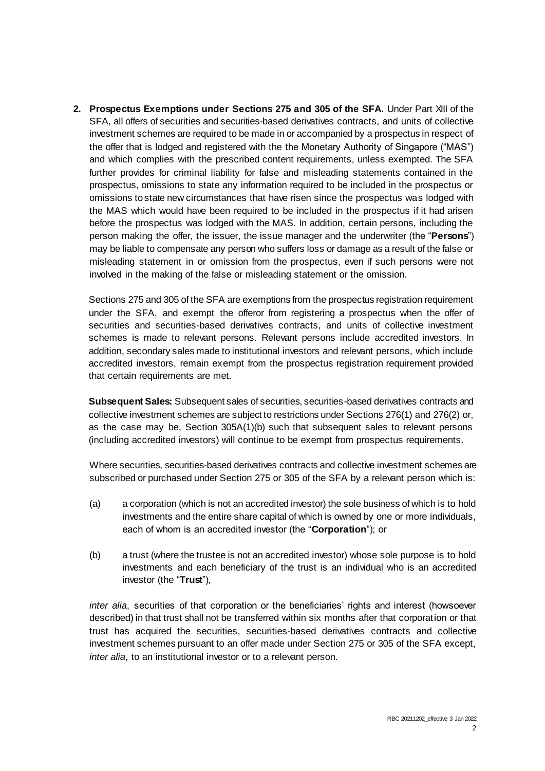**2. Prospectus Exemptions under Sections 275 and 305 of the SFA.** Under Part XIII of the SFA, all offers of securities and securities-based derivatives contracts, and units of collective investment schemes are required to be made in or accompanied by a prospectus in respect of the offer that is lodged and registered with the the Monetary Authority of Singapore ("MAS") and which complies with the prescribed content requirements, unless exempted. The SFA further provides for criminal liability for false and misleading statements contained in the prospectus, omissions to state any information required to be included in the prospectus or omissions to state new circumstances that have risen since the prospectus was lodged with the MAS which would have been required to be included in the prospectus if it had arisen before the prospectus was lodged with the MAS. In addition, certain persons, including the person making the offer, the issuer, the issue manager and the underwriter (the "**Persons**") may be liable to compensate any person who suffers loss or damage as a result of the false or misleading statement in or omission from the prospectus, even if such persons were not involved in the making of the false or misleading statement or the omission.

Sections 275 and 305 of the SFA are exemptions from the prospectus registration requirement under the SFA, and exempt the offeror from registering a prospectus when the offer of securities and securities-based derivatives contracts, and units of collective investment schemes is made to relevant persons. Relevant persons include accredited investors. In addition, secondary sales made to institutional investors and relevant persons, which include accredited investors, remain exempt from the prospectus registration requirement provided that certain requirements are met.

**Subsequent Sales:** Subsequent sales of securities, securities-based derivatives contracts and collective investment schemes are subject to restrictions under Sections 276(1) and 276(2) or, as the case may be, Section 305A(1)(b) such that subsequent sales to relevant persons (including accredited investors) will continue to be exempt from prospectus requirements.

Where securities, securities-based derivatives contracts and collective investment schemes are subscribed or purchased under Section 275 or 305 of the SFA by a relevant person which is:

- (a) a corporation (which is not an accredited investor) the sole business of which is to hold investments and the entire share capital of which is owned by one or more individuals, each of whom is an accredited investor (the "**Corporation**"); or
- (b) a trust (where the trustee is not an accredited investor) whose sole purpose is to hold investments and each beneficiary of the trust is an individual who is an accredited investor (the "**Trust**"),

*inter alia*, securities of that corporation or the beneficiaries' rights and interest (howsoever described) in that trust shall not be transferred within six months after that corporation or that trust has acquired the securities, securities-based derivatives contracts and collective investment schemes pursuant to an offer made under Section 275 or 305 of the SFA except, *inter alia*, to an institutional investor or to a relevant person.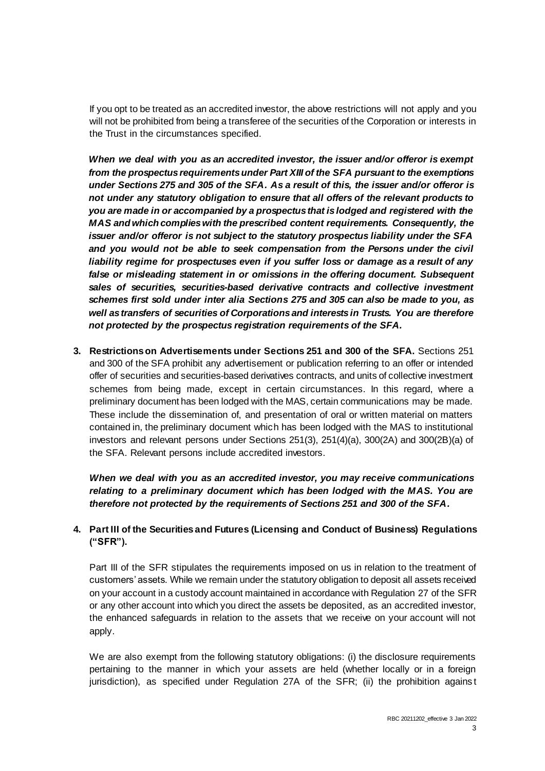If you opt to be treated as an accredited investor, the above restrictions will not apply and you will not be prohibited from being a transferee of the securities of the Corporation or interests in the Trust in the circumstances specified.

*When we deal with you as an accredited investor, the issuer and/or offeror is exempt from the prospectus requirementsunder Part XIII of the SFA pursuant to the exemptions under Sections 275 and 305 of the SFA. As a result of this, the issuer and/or offeror is not under any statutory obligation to ensure that all offers of the relevant products to you are made in or accompanied by a prospectus that is lodged and registered with the MAS and which complies with the prescribed content requirements. Consequently, the issuer and/or offeror is not subject to the statutory prospectus liability under the SFA*  and you would not be able to seek compensation from the Persons under the civil *liability regime for prospectuses even if you suffer loss or damage as a result of any*  false or misleading statement in or omissions in the offering document. Subsequent sales of securities, securities-based derivative contracts and collective investment *schemes first sold under inter alia Sections 275 and 305 can also be made to you, as well as transfers of securities of Corporations and interests in Trusts. You are therefore not protected by the prospectus registration requirements of the SFA.*

**3. Restrictions on Advertisements under Sections 251 and 300 of the SFA.** Sections 251 and 300 of the SFA prohibit any advertisement or publication referring to an offer or intended offer of securities and securities-based derivatives contracts, and units of collective investment schemes from being made, except in certain circumstances. In this regard, where a preliminary document has been lodged with the MAS, certain communications may be made. These include the dissemination of, and presentation of oral or written material on matters contained in, the preliminary document which has been lodged with the MAS to institutional investors and relevant persons under Sections 251(3), 251(4)(a), 300(2A) and 300(2B)(a) of the SFA. Relevant persons include accredited investors.

*When we deal with you as an accredited investor, you may receive communications relating to a preliminary document which has been lodged with the MAS. You are therefore not protected by the requirements of Sections 251 and 300 of the SFA.*

## **4. Part III of the Securities and Futures (Licensing and Conduct of Business) Regulations ("SFR").**

Part III of the SFR stipulates the requirements imposed on us in relation to the treatment of customers' assets. While we remain under the statutory obligation to deposit all assets received on your account in a custody account maintained in accordance with Regulation 27 of the SFR or any other account into which you direct the assets be deposited, as an accredited investor, the enhanced safeguards in relation to the assets that we receive on your account will not apply.

We are also exempt from the following statutory obligations: (i) the disclosure requirements pertaining to the manner in which your assets are held (whether locally or in a foreign jurisdiction), as specified under Regulation 27A of the SFR; (ii) the prohibition agains t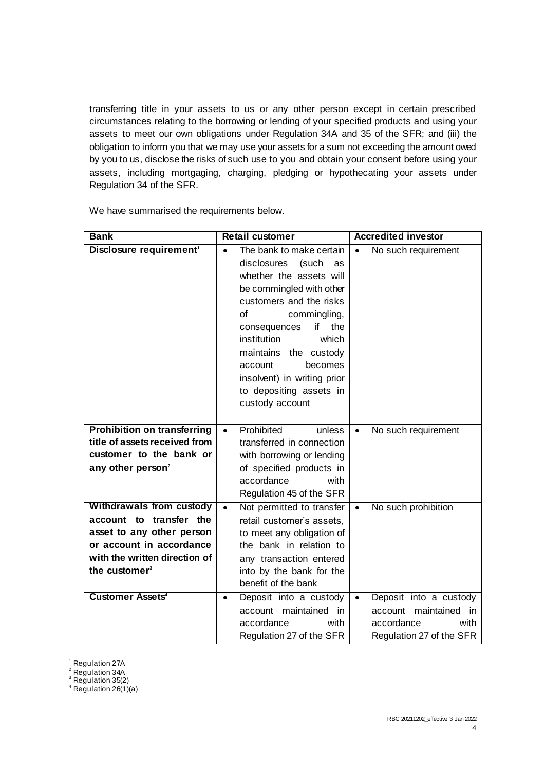transferring title in your assets to us or any other person except in certain prescribed circumstances relating to the borrowing or lending of your specified products and using your assets to meet our own obligations under Regulation 34A and 35 of the SFR; and (iii) the obligation to inform you that we may use your assets for a sum not exceeding the amount owed by you to us, disclose the risks of such use to you and obtain your consent before using your assets, including mortgaging, charging, pledging or hypothecating your assets under Regulation 34 of the SFR.

| <b>Bank</b>                                                                                                                                                                       | <b>Retail customer</b>                                                                                                                                                                                                                                                                                                                                       | <b>Accredited investor</b>                                                                                     |
|-----------------------------------------------------------------------------------------------------------------------------------------------------------------------------------|--------------------------------------------------------------------------------------------------------------------------------------------------------------------------------------------------------------------------------------------------------------------------------------------------------------------------------------------------------------|----------------------------------------------------------------------------------------------------------------|
| Disclosure requirement <sup>1</sup>                                                                                                                                               | The bank to make certain<br>$\bullet$<br>disclosures<br>(such<br>as<br>whether the assets will<br>be commingled with other<br>customers and the risks<br>Ωf<br>commingling,<br>if<br>the<br>consequences<br>institution<br>which<br>maintains the custody<br>becomes<br>account<br>insolvent) in writing prior<br>to depositing assets in<br>custody account | No such requirement<br>$\bullet$                                                                               |
| <b>Prohibition on transferring</b><br>title of assets received from<br>customer to the bank or<br>any other person <sup>2</sup>                                                   | Prohibited<br>unless<br>$\bullet$<br>transferred in connection<br>with borrowing or lending<br>of specified products in<br>accordance<br>with<br>Regulation 45 of the SFR                                                                                                                                                                                    | No such requirement<br>$\bullet$                                                                               |
| <b>Withdrawals from custody</b><br>account to transfer the<br>asset to any other person<br>or account in accordance<br>with the written direction of<br>the customer <sup>3</sup> | Not permitted to transfer<br>$\bullet$<br>retail customer's assets,<br>to meet any obligation of<br>the bank in relation to<br>any transaction entered<br>into by the bank for the<br>benefit of the bank                                                                                                                                                    | No such prohibition<br>$\bullet$                                                                               |
| <b>Customer Assets<sup>4</sup></b>                                                                                                                                                | Deposit into a custody<br>٠<br>account maintained in<br>accordance<br>with<br>Regulation 27 of the SFR                                                                                                                                                                                                                                                       | Deposit into a custody<br>$\bullet$<br>account maintained in<br>accordance<br>with<br>Regulation 27 of the SFR |

We have summarised the requirements below.

 $\frac{1}{2}$ <sup>1</sup> Regulation 27A

<sup>&</sup>lt;sup>2</sup> Regulation 34A

 $3$  Regulation 35(2)

 $4$  Regulation 26(1)(a)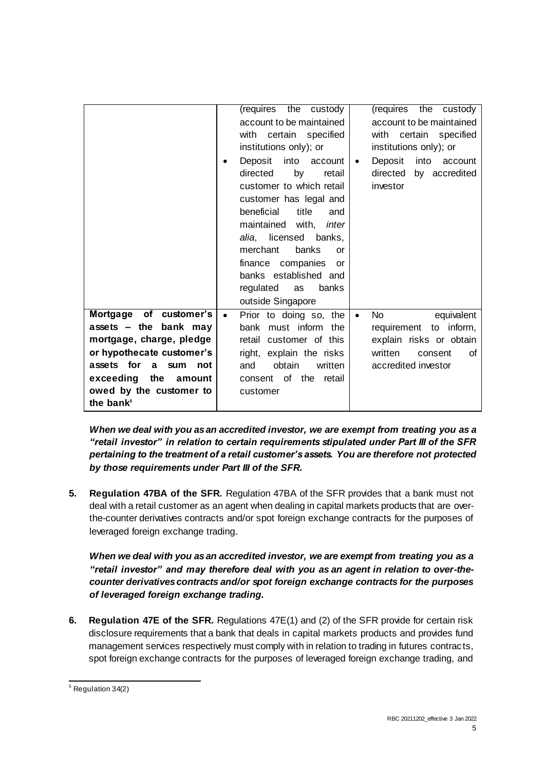|                                      | (requires the custody               | (requires the custody                   |
|--------------------------------------|-------------------------------------|-----------------------------------------|
|                                      | account to be maintained            | account to be maintained                |
|                                      | with certain specified              | with certain specified                  |
|                                      | institutions only); or              | institutions only); or                  |
|                                      | Deposit<br>into<br>account<br>٠     | Deposit<br>into<br>account<br>$\bullet$ |
|                                      | directed<br>by<br>retail            | directed<br>by accredited               |
|                                      | customer to which retail            | investor                                |
|                                      | customer has legal and              |                                         |
|                                      | beneficial<br>title<br>and          |                                         |
|                                      | maintained with, <i>inter</i>       |                                         |
|                                      | alia, licensed banks,               |                                         |
|                                      | banks<br>merchant<br>or             |                                         |
|                                      | finance companies<br><b>or</b>      |                                         |
|                                      | banks established and               |                                         |
|                                      | regulated<br>banks<br>as            |                                         |
|                                      | outside Singapore                   |                                         |
| Mortgage of customer's               | Prior to doing so, the<br>$\bullet$ | equivalent<br>No.<br>$\bullet$          |
| assets - the bank may                | bank must inform the                | requirement to inform,                  |
| mortgage, charge, pledge             | retail customer of this             | explain risks or obtain                 |
| or hypothecate customer's            | right, explain the risks            | written<br>consent<br>Ωf                |
| assets for<br><b>a</b><br>sum<br>not | obtain<br>written<br>and            | accredited investor                     |
| exceeding the<br>amount              | consent of the retail               |                                         |
| owed by the customer to              | customer                            |                                         |
| the bank <sup>5</sup>                |                                     |                                         |

*When we deal with you as an accredited investor, we are exempt from treating you as a "retail investor" in relation to certain requirements stipulated under Part III of the SFR pertaining to the treatment of a retail customer's assets. You are therefore not protected by those requirements under Part III of the SFR.*

**5. Regulation 47BA of the SFR.** Regulation 47BA of the SFR provides that a bank must not deal with a retail customer as an agent when dealing in capital markets products that are overthe-counter derivatives contracts and/or spot foreign exchange contracts for the purposes of leveraged foreign exchange trading.

*When we deal with you as an accredited investor, we are exempt from treating you as a "retail investor" and may therefore deal with you as an agent in relation to over-thecounter derivatives contracts and/or spot foreign exchange contracts for the purposes of leveraged foreign exchange trading.*

**6. Regulation 47E of the SFR.** Regulations 47E(1) and (2) of the SFR provide for certain risk disclosure requirements that a bank that deals in capital markets products and provides fund management services respectively must comply with in relation to trading in futures contrac ts, spot foreign exchange contracts for the purposes of leveraged foreign exchange trading, and

<sup>1</sup>  $<sup>5</sup>$  Regulation 34(2)</sup>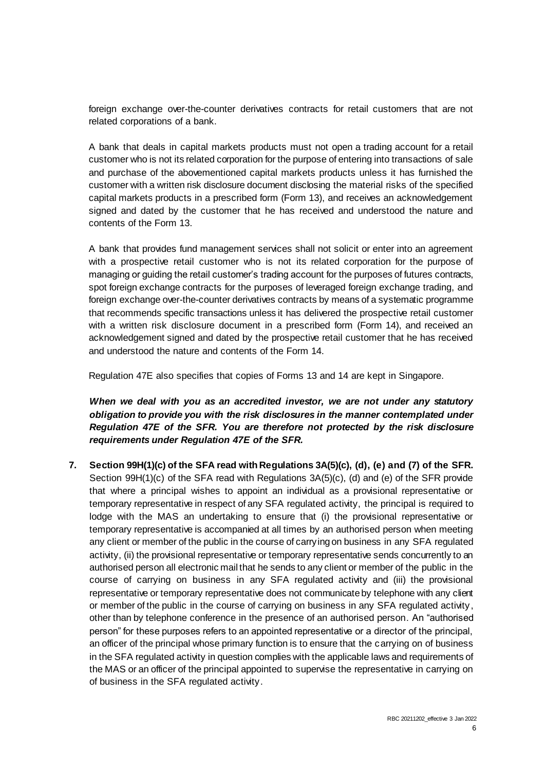foreign exchange over-the-counter derivatives contracts for retail customers that are not related corporations of a bank.

A bank that deals in capital markets products must not open a trading account for a retail customer who is not its related corporation for the purpose of entering into transactions of sale and purchase of the abovementioned capital markets products unless it has furnished the customer with a written risk disclosure document disclosing the material risks of the specified capital markets products in a prescribed form (Form 13), and receives an acknowledgement signed and dated by the customer that he has received and understood the nature and contents of the Form 13.

A bank that provides fund management services shall not solicit or enter into an agreement with a prospective retail customer who is not its related corporation for the purpose of managing or guiding the retail customer's trading account for the purposes of futures contracts, spot foreign exchange contracts for the purposes of leveraged foreign exchange trading, and foreign exchange over-the-counter derivatives contracts by means of a systematic programme that recommends specific transactions unless it has delivered the prospective retail customer with a written risk disclosure document in a prescribed form (Form 14), and received an acknowledgement signed and dated by the prospective retail customer that he has received and understood the nature and contents of the Form 14.

Regulation 47E also specifies that copies of Forms 13 and 14 are kept in Singapore.

When we deal with you as an accredited investor, we are not under any statutory *obligation to provide you with the risk disclosures in the manner contemplated under Regulation 47E of the SFR. You are therefore not protected by the risk disclosure requirements under Regulation 47E of the SFR.*

**7. Section 99H(1)(c) of the SFA read with Regulations 3A(5)(c), (d), (e) and (7) of the SFR.**  Section 99H(1)(c) of the SFA read with Regulations 3A(5)(c), (d) and (e) of the SFR provide that where a principal wishes to appoint an individual as a provisional representative or temporary representative in respect of any SFA regulated activity, the principal is required to lodge with the MAS an undertaking to ensure that (i) the provisional representative or temporary representative is accompanied at all times by an authorised person when meeting any client or member of the public in the course of carrying on business in any SFA regulated activity, (ii) the provisional representative or temporary representative sends concurrently to an authorised person all electronic mail that he sends to any client or member of the public in the course of carrying on business in any SFA regulated activity and (iii) the provisional representative or temporary representative does not communicate by telephone with any client or member of the public in the course of carrying on business in any SFA regulated activity, other than by telephone conference in the presence of an authorised person. An "authorised person" for these purposes refers to an appointed representative or a director of the principal, an officer of the principal whose primary function is to ensure that the carrying on of business in the SFA regulated activity in question complies with the applicable laws and requirements of the MAS or an officer of the principal appointed to supervise the representative in carrying on of business in the SFA regulated activity.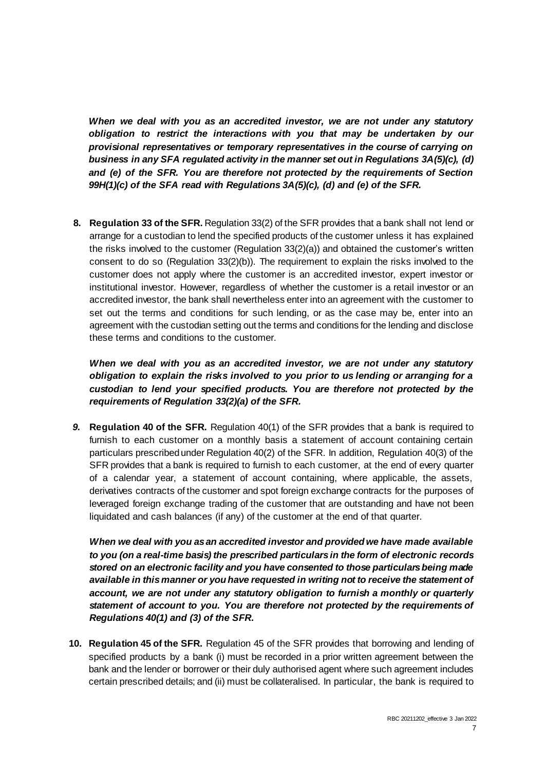*When we deal with you as an accredited investor, we are not under any statutory obligation to restrict the interactions with you that may be undertaken by our provisional representatives or temporary representatives in the course of carrying on business in any SFA regulated activity in the manner set out in Regulations 3A(5)(c), (d) and (e) of the SFR. You are therefore not protected by the requirements of Section 99H(1)(c) of the SFA read with Regulations 3A(5)(c), (d) and (e) of the SFR.*

**8. Regulation 33 of the SFR.** Regulation 33(2) of the SFR provides that a bank shall not lend or arrange for a custodian to lend the specified products of the customer unless it has explained the risks involved to the customer (Regulation 33(2)(a)) and obtained the customer's written consent to do so (Regulation 33(2)(b)). The requirement to explain the risks involved to the customer does not apply where the customer is an accredited investor, expert investor or institutional investor. However, regardless of whether the customer is a retail investor or an accredited investor, the bank shall nevertheless enter into an agreement with the customer to set out the terms and conditions for such lending, or as the case may be, enter into an agreement with the custodian setting out the terms and conditions for the lending and disclose these terms and conditions to the customer.

*When we deal with you as an accredited investor, we are not under any statutory obligation to explain the risks involved to you prior to us lending or arranging for a custodian to lend your specified products. You are therefore not protected by the requirements of Regulation 33(2)(a) of the SFR.*

*9.* **Regulation 40 of the SFR.** Regulation 40(1) of the SFR provides that a bank is required to furnish to each customer on a monthly basis a statement of account containing certain particulars prescribed under Regulation 40(2) of the SFR. In addition, Regulation 40(3) of the SFR provides that a bank is required to furnish to each customer, at the end of every quarter of a calendar year, a statement of account containing, where applicable, the assets, derivatives contracts of the customer and spot foreign exchange contracts for the purposes of leveraged foreign exchange trading of the customer that are outstanding and have not been liquidated and cash balances (if any) of the customer at the end of that quarter.

*When we deal with you as an accredited investor and provided we have made available to you (on a real-time basis) the prescribed particulars in the form of electronic records stored on an electronic facility and you have consented to those particulars being made available in this manner or you have requested in writing not to receive the statement of account, we are not under any statutory obligation to furnish a monthly or quarterly statement of account to you. You are therefore not protected by the requirements of Regulations 40(1) and (3) of the SFR.*

**10. Regulation 45 of the SFR.** Regulation 45 of the SFR provides that borrowing and lending of specified products by a bank (i) must be recorded in a prior written agreement between the bank and the lender or borrower or their duly authorised agent where such agreement includes certain prescribed details; and (ii) must be collateralised. In particular, the bank is required to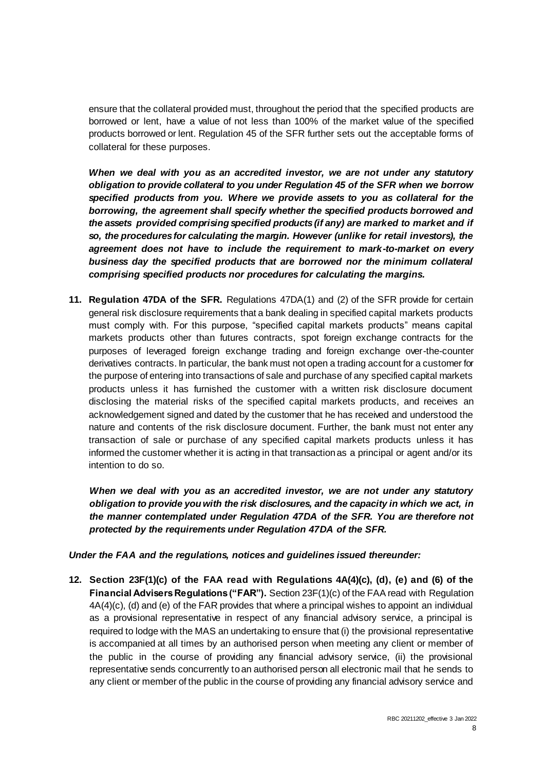ensure that the collateral provided must, throughout the period that the specified products are borrowed or lent, have a value of not less than 100% of the market value of the specified products borrowed or lent. Regulation 45 of the SFR further sets out the acceptable forms of collateral for these purposes.

*When we deal with you as an accredited investor, we are not under any statutory obligation to provide collateral to you under Regulation 45 of the SFR when we borrow specified products from you. Where we provide assets to you as collateral for the borrowing, the agreement shall specify whether the specified products borrowed and the assets provided comprising specified products (if any) are marked to market and if so, the procedures for calculating the margin. However (unlike for retail investors), the agreement does not have to include the requirement to mark-to-market on every*  business day the specified products that are borrowed nor the minimum collateral *comprising specified products nor procedures for calculating the margins.*

**11. Regulation 47DA of the SFR.** Regulations 47DA(1) and (2) of the SFR provide for certain general risk disclosure requirements that a bank dealing in specified capital markets products must comply with. For this purpose, "specified capital markets products" means capital markets products other than futures contracts, spot foreign exchange contracts for the purposes of leveraged foreign exchange trading and foreign exchange over-the-counter derivatives contracts. In particular, the bank must not open a trading account for a customer for the purpose of entering into transactions of sale and purchase of any specified capital markets products unless it has furnished the customer with a written risk disclosure document disclosing the material risks of the specified capital markets products, and receives an acknowledgement signed and dated by the customer that he has received and understood the nature and contents of the risk disclosure document. Further, the bank must not enter any transaction of sale or purchase of any specified capital markets products unless it has informed the customer whether it is acting in that transaction as a principal or agent and/or its intention to do so.

*When we deal with you as an accredited investor, we are not under any statutory obligation to provide you with the risk disclosures, and the capacity in which we act, in the manner contemplated under Regulation 47DA of the SFR. You are therefore not protected by the requirements under Regulation 47DA of the SFR.*

*Under the FAA and the regulations, notices and guidelines issued thereunder:*

**12. Section 23F(1)(c) of the FAA read with Regulations 4A(4)(c), (d), (e) and (6) of the Financial Advisers Regulations ("FAR").** Section 23F(1)(c) of the FAA read with Regulation 4A(4)(c), (d) and (e) of the FAR provides that where a principal wishes to appoint an individual as a provisional representative in respect of any financial advisory service, a principal is required to lodge with the MAS an undertaking to ensure that (i) the provisional representative is accompanied at all times by an authorised person when meeting any client or member of the public in the course of providing any financial advisory service, (ii) the provisional representative sends concurrently to an authorised person all electronic mail that he sends to any client or member of the public in the course of providing any financial advisory service and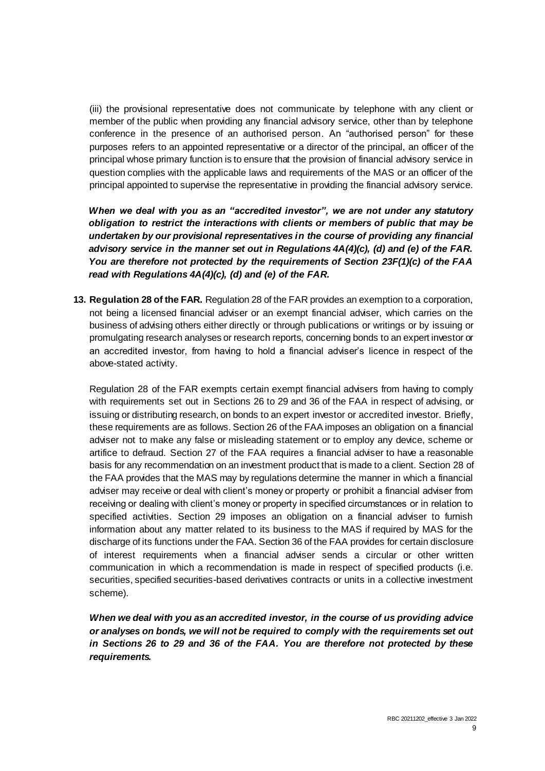(iii) the provisional representative does not communicate by telephone with any client or member of the public when providing any financial advisory service, other than by telephone conference in the presence of an authorised person. An "authorised person" for these purposes refers to an appointed representative or a director of the principal, an officer of the principal whose primary function is to ensure that the provision of financial advisory service in question complies with the applicable laws and requirements of the MAS or an officer of the principal appointed to supervise the representative in providing the financial advisory service.

*When we deal with you as an "accredited investor", we are not under any statutory obligation to restrict the interactions with clients or members of public that may be undertaken by our provisional representatives in the course of providing any financial advisory service in the manner set out in Regulations 4A(4)(c), (d) and (e) of the FAR. You are therefore not protected by the requirements of Section 23F(1)(c) of the FAA read with Regulations 4A(4)(c), (d) and (e) of the FAR.*

**13. Regulation 28 of the FAR.** Regulation 28 of the FAR provides an exemption to a corporation, not being a licensed financial adviser or an exempt financial adviser, which carries on the business of advising others either directly or through publications or writings or by issuing or promulgating research analyses or research reports, concerning bonds to an expert investor or an accredited investor, from having to hold a financial adviser's licence in respect of the above-stated activity.

Regulation 28 of the FAR exempts certain exempt financial advisers from having to comply with requirements set out in Sections 26 to 29 and 36 of the FAA in respect of advising, or issuing or distributing research, on bonds to an expert investor or accredited investor. Briefly, these requirements are as follows. Section 26 of the FAA imposes an obligation on a financial adviser not to make any false or misleading statement or to employ any device, scheme or artifice to defraud. Section 27 of the FAA requires a financial adviser to have a reasonable basis for any recommendation on an investment product that is made to a client. Section 28 of the FAA provides that the MAS may by regulations determine the manner in which a financial adviser may receive or deal with client's money or property or prohibit a financial adviser from receiving or dealing with client's money or property in specified circumstances or in relation to specified activities. Section 29 imposes an obligation on a financial adviser to furnish information about any matter related to its business to the MAS if required by MAS for the discharge of its functions under the FAA. Section 36 of the FAA provides for certain disclosure of interest requirements when a financial adviser sends a circular or other written communication in which a recommendation is made in respect of specified products (i.e. securities, specified securities-based derivatives contracts or units in a collective investment scheme).

*When we deal with you as an accredited investor, in the course of us providing advice or analyses on bonds, we will not be required to comply with the requirements set out in Sections 26 to 29 and 36 of the FAA. You are therefore not protected by these requirements.*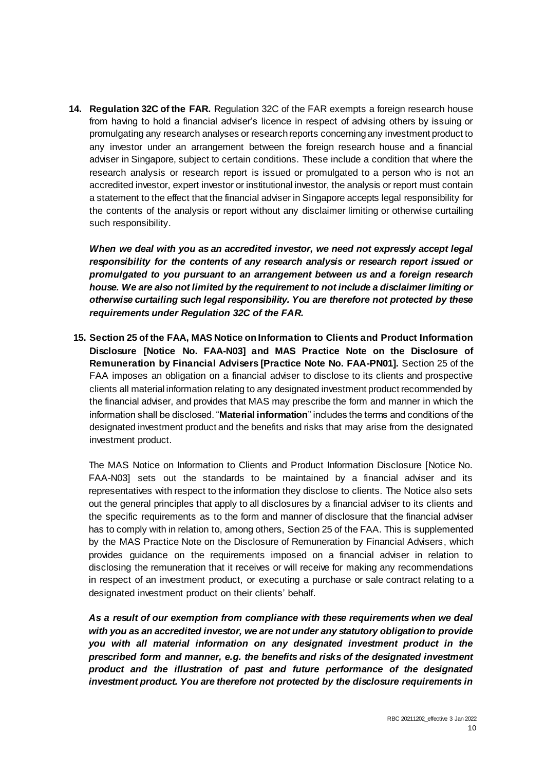**14. Regulation 32C of the FAR.** Regulation 32C of the FAR exempts a foreign research house from having to hold a financial adviser's licence in respect of advising others by issuing or promulgating any research analyses or research reports concerning any investment product to any investor under an arrangement between the foreign research house and a financial adviser in Singapore, subject to certain conditions. These include a condition that where the research analysis or research report is issued or promulgated to a person who is not an accredited investor, expert investor or institutional investor, the analysis or report must contain a statement to the effect that the financial adviser in Singapore accepts legal responsibility for the contents of the analysis or report without any disclaimer limiting or otherwise curtailing such responsibility.

*When we deal with you as an accredited investor, we need not expressly accept legal responsibility for the contents of any research analysis or research report issued or promulgated to you pursuant to an arrangement between us and a foreign research house. We are also not limited by the requirement to not include a disclaimer limiting or otherwise curtailing such legal responsibility. You are therefore not protected by these requirements under Regulation 32C of the FAR.*

**15. Section 25 of the FAA, MAS Notice on Information to Clients and Product Information Disclosure [Notice No. FAA-N03] and MAS Practice Note on the Disclosure of Remuneration by Financial Advisers [Practice Note No. FAA-PN01].** Section 25 of the FAA imposes an obligation on a financial adviser to disclose to its clients and prospective clients all material information relating to any designated investment product recommended by the financial adviser, and provides that MAS may prescribe the form and manner in which the information shall be disclosed. "**Material information**" includes the terms and conditions of the designated investment product and the benefits and risks that may arise from the designated investment product.

The MAS Notice on Information to Clients and Product Information Disclosure [Notice No. FAA-N03] sets out the standards to be maintained by a financial adviser and its representatives with respect to the information they disclose to clients. The Notice also sets out the general principles that apply to all disclosures by a financial adviser to its clients and the specific requirements as to the form and manner of disclosure that the financial adviser has to comply with in relation to, among others, Section 25 of the FAA. This is supplemented by the MAS Practice Note on the Disclosure of Remuneration by Financial Advisers, which provides guidance on the requirements imposed on a financial adviser in relation to disclosing the remuneration that it receives or will receive for making any recommendations in respect of an investment product, or executing a purchase or sale contract relating to a designated investment product on their clients' behalf.

*As a result of our exemption from compliance with these requirements when we deal with you as an accredited investor, we are not under any statutory obligation to provide you with all material information on any designated investment product in the prescribed form and manner, e.g. the benefits and risks of the designated investment product and the illustration of past and future performance of the designated investment product. You are therefore not protected by the disclosure requirements in*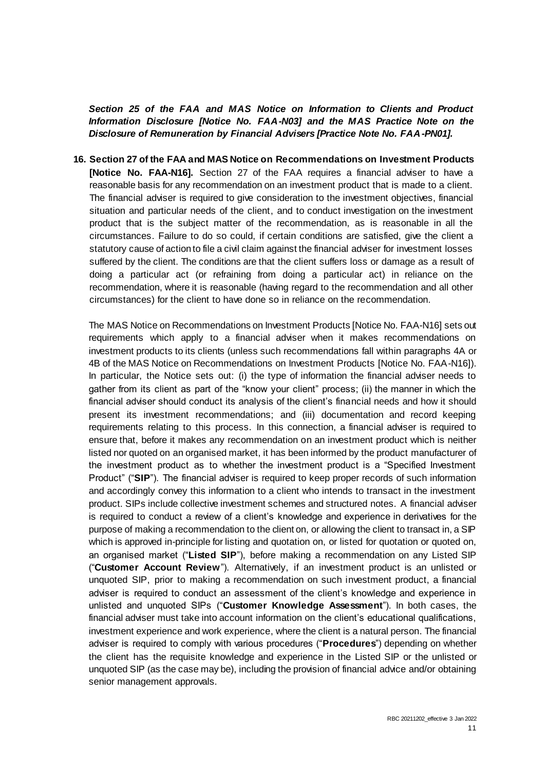*Section 25 of the FAA and MAS Notice on Information to Clients and Product Information Disclosure [Notice No. FAA-N03] and the MAS Practice Note on the Disclosure of Remuneration by Financial Advisers [Practice Note No. FAA-PN01].*

**16. Section 27 of the FAA and MAS Notice on Recommendations on Investment Products [Notice No. FAA-N16].** Section 27 of the FAA requires a financial adviser to have a reasonable basis for any recommendation on an investment product that is made to a client. The financial adviser is required to give consideration to the investment objectives, financial situation and particular needs of the client, and to conduct investigation on the investment product that is the subject matter of the recommendation, as is reasonable in all the circumstances. Failure to do so could, if certain conditions are satisfied, give the client a statutory cause of action to file a civil claim against the financial adviser for investment losses suffered by the client. The conditions are that the client suffers loss or damage as a result of doing a particular act (or refraining from doing a particular act) in reliance on the recommendation, where it is reasonable (having regard to the recommendation and all other circumstances) for the client to have done so in reliance on the recommendation.

The MAS Notice on Recommendations on Investment Products [Notice No. FAA-N16] sets out requirements which apply to a financial adviser when it makes recommendations on investment products to its clients (unless such recommendations fall within paragraphs 4A or 4B of the MAS Notice on Recommendations on Investment Products [Notice No. FAA-N16]). In particular, the Notice sets out: (i) the type of information the financial adviser needs to gather from its client as part of the "know your client" process; (ii) the manner in which the financial adviser should conduct its analysis of the client's financial needs and how it should present its investment recommendations; and (iii) documentation and record keeping requirements relating to this process. In this connection, a financial adviser is required to ensure that, before it makes any recommendation on an investment product which is neither listed nor quoted on an organised market, it has been informed by the product manufacturer of the investment product as to whether the investment product is a "Specified Investment Product" ("**SIP**"). The financial adviser is required to keep proper records of such information and accordingly convey this information to a client who intends to transact in the investment product. SIPs include collective investment schemes and structured notes. A financial adviser is required to conduct a review of a client's knowledge and experience in derivatives for the purpose of making a recommendation to the client on, or allowing the client to transact in, a SIP which is approved in-principle for listing and quotation on, or listed for quotation or quoted on, an organised market ("**Listed SIP**"), before making a recommendation on any Listed SIP ("**Customer Account Review**"). Alternatively, if an investment product is an unlisted or unquoted SIP, prior to making a recommendation on such investment product, a financial adviser is required to conduct an assessment of the client's knowledge and experience in unlisted and unquoted SIPs ("**Customer Knowledge Assessment**"). In both cases, the financial adviser must take into account information on the client's educational qualifications, investment experience and work experience, where the client is a natural person. The financial adviser is required to comply with various procedures ("**Procedures**") depending on whether the client has the requisite knowledge and experience in the Listed SIP or the unlisted or unquoted SIP (as the case may be), including the provision of financial advice and/or obtaining senior management approvals.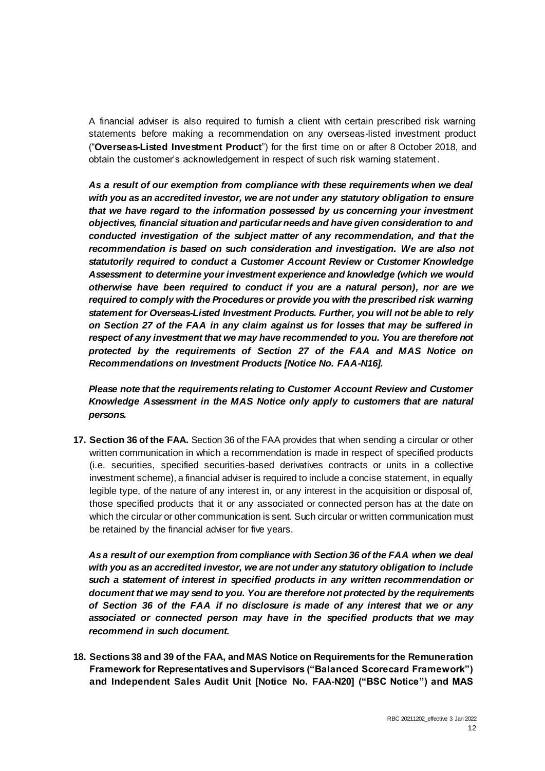A financial adviser is also required to furnish a client with certain prescribed risk warning statements before making a recommendation on any overseas-listed investment product ("**Overseas-Listed Investment Product**") for the first time on or after 8 October 2018, and obtain the customer's acknowledgement in respect of such risk warning statement.

*As a result of our exemption from compliance with these requirements when we deal with you as an accredited investor, we are not under any statutory obligation to ensure that we have regard to the information possessed by us concerning your investment objectives, financial situation and particular needs and have given consideration to and conducted investigation of the subject matter of any recommendation, and that the recommendation is based on such consideration and investigation. We are also not statutorily required to conduct a Customer Account Review or Customer Knowledge Assessment to determine your investment experience and knowledge (which we would otherwise have been required to conduct if you are a natural person), nor are we required to comply with the Procedures or provide you with the prescribed risk warning statement for Overseas-Listed Investment Products. Further, you will not be able to rely on Section 27 of the FAA in any claim against us for losses that may be suffered in respect of any investment that we may have recommended to you. You are therefore not protected by the requirements of Section 27 of the FAA and MAS Notice on Recommendations on Investment Products [Notice No. FAA-N16].*

*Please note that the requirements relating to Customer Account Review and Customer Knowledge Assessment in the MAS Notice only apply to customers that are natural persons.*

**17. Section 36 of the FAA.** Section 36 of the FAA provides that when sending a circular or other written communication in which a recommendation is made in respect of specified products (i.e. securities, specified securities-based derivatives contracts or units in a collective investment scheme), a financial adviser is required to include a concise statement, in equally legible type, of the nature of any interest in, or any interest in the acquisition or disposal of, those specified products that it or any associated or connected person has at the date on which the circular or other communication is sent. Such circular or written communication must be retained by the financial adviser for five years.

*As a result of our exemption from compliance with Section 36 of the FAA when we deal with you as an accredited investor, we are not under any statutory obligation to include such a statement of interest in specified products in any written recommendation or document that we may send to you. You are therefore not protected by the requirements of Section 36 of the FAA if no disclosure is made of any interest that we or any associated or connected person may have in the specified products that we may recommend in such document.*

**18. Sections38 and 39 of the FAA, and MAS Notice on Requirements for the Remuneration Framework for Representatives and Supervisors ("Balanced Scorecard Framework") and Independent Sales Audit Unit [Notice No. FAA-N20] ("BSC Notice") and MAS**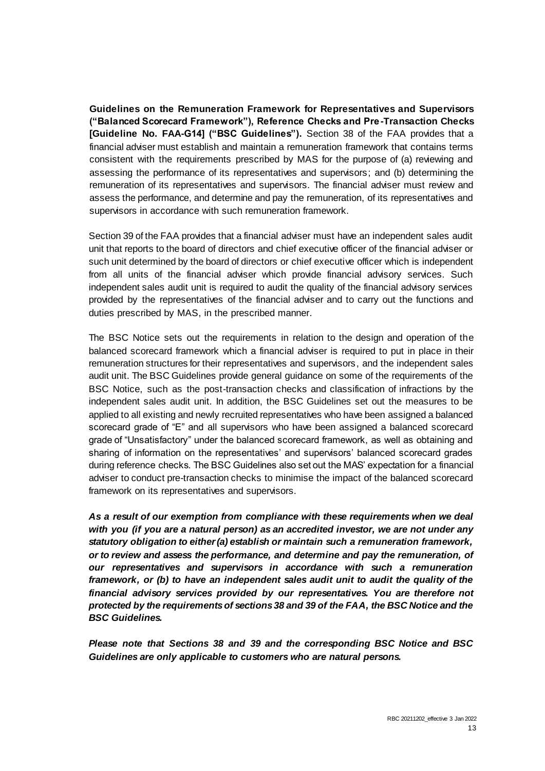**Guidelines on the Remuneration Framework for Representatives and Supervisors ("Balanced Scorecard Framework"), Reference Checks and Pre-Transaction Checks [Guideline No. FAA-G14] ("BSC Guidelines").** Section 38 of the FAA provides that a financial adviser must establish and maintain a remuneration framework that contains terms consistent with the requirements prescribed by MAS for the purpose of (a) reviewing and assessing the performance of its representatives and supervisors; and (b) determining the remuneration of its representatives and supervisors. The financial adviser must review and assess the performance, and determine and pay the remuneration, of its representatives and supervisors in accordance with such remuneration framework.

Section 39 of the FAA provides that a financial adviser must have an independent sales audit unit that reports to the board of directors and chief executive officer of the financial adviser or such unit determined by the board of directors or chief executive officer which is independent from all units of the financial adviser which provide financial advisory services. Such independent sales audit unit is required to audit the quality of the financial advisory services provided by the representatives of the financial adviser and to carry out the functions and duties prescribed by MAS, in the prescribed manner.

The BSC Notice sets out the requirements in relation to the design and operation of the balanced scorecard framework which a financial adviser is required to put in place in their remuneration structures for their representatives and supervisors, and the independent sales audit unit. The BSC Guidelines provide general guidance on some of the requirements of the BSC Notice, such as the post-transaction checks and classification of infractions by the independent sales audit unit. In addition, the BSC Guidelines set out the measures to be applied to all existing and newly recruited representatives who have been assigned a balanced scorecard grade of "E" and all supervisors who have been assigned a balanced scorecard grade of "Unsatisfactory" under the balanced scorecard framework, as well as obtaining and sharing of information on the representatives' and supervisors' balanced scorecard grades during reference checks. The BSC Guidelines also set out the MAS' expectation for a financial adviser to conduct pre-transaction checks to minimise the impact of the balanced scorecard framework on its representatives and supervisors.

*As a result of our exemption from compliance with these requirements when we deal with you (if you are a natural person) as an accredited investor, we are not under any statutory obligation to either (a) establish or maintain such a remuneration framework, or to review and assess the performance, and determine and pay the remuneration, of our representatives and supervisors in accordance with such a remuneration framework, or (b) to have an independent sales audit unit to audit the quality of the financial advisory services provided by our representatives. You are therefore not protected by the requirements of sections 38 and 39 of the FAA, the BSC Notice and the BSC Guidelines.*

*Please note that Sections 38 and 39 and the corresponding BSC Notice and BSC Guidelines are only applicable to customers who are natural persons.*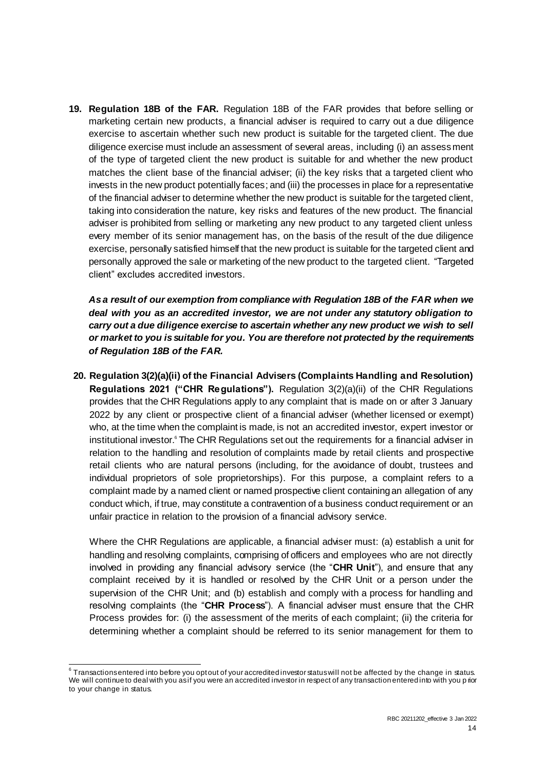**19. Regulation 18B of the FAR.** Regulation 18B of the FAR provides that before selling or marketing certain new products, a financial adviser is required to carry out a due diligence exercise to ascertain whether such new product is suitable for the targeted client. The due diligence exercise must include an assessment of several areas, including (i) an assessment of the type of targeted client the new product is suitable for and whether the new product matches the client base of the financial adviser; (ii) the key risks that a targeted client who invests in the new product potentially faces; and (iii) the processes in place for a representative of the financial adviser to determine whether the new product is suitable for the targeted client, taking into consideration the nature, key risks and features of the new product. The financial adviser is prohibited from selling or marketing any new product to any targeted client unless every member of its senior management has, on the basis of the result of the due diligence exercise, personally satisfied himself that the new product is suitable for the targeted client and personally approved the sale or marketing of the new product to the targeted client. "Targeted client" excludes accredited investors.

*As a result of our exemption from compliance with Regulation 18B of the FAR when we deal with you as an accredited investor, we are not under any statutory obligation to carry out a due diligence exercise to ascertain whether any new product we wish to sell or market to you is suitable for you. You are therefore not protected by the requirements of Regulation 18B of the FAR.*

**20. Regulation 3(2)(a)(ii) of the Financial Advisers (Complaints Handling and Resolution) Regulations 2021 ("CHR Regulations").** Regulation 3(2)(a)(ii) of the CHR Regulations provides that the CHR Regulations apply to any complaint that is made on or after 3 January 2022 by any client or prospective client of a financial adviser (whether licensed or exempt) who, at the time when the complaint is made, is not an accredited investor, expert investor or institutional investor.<sup>6</sup> The CHR Regulations set out the requirements for a financial adviser in relation to the handling and resolution of complaints made by retail clients and prospective retail clients who are natural persons (including, for the avoidance of doubt, trustees and individual proprietors of sole proprietorships). For this purpose, a complaint refers to a complaint made by a named client or named prospective client containing an allegation of any conduct which, if true, may constitute a contravention of a business conduct requirement or an unfair practice in relation to the provision of a financial advisory service.

Where the CHR Regulations are applicable, a financial adviser must: (a) establish a unit for handling and resolving complaints, comprising of officers and employees who are not directly involved in providing any financial advisory service (the "**CHR Unit**"), and ensure that any complaint received by it is handled or resolved by the CHR Unit or a person under the supervision of the CHR Unit; and (b) establish and comply with a process for handling and resolving complaints (the "**CHR Process**"). A financial adviser must ensure that the CHR Process provides for: (i) the assessment of the merits of each complaint; (ii) the criteria for determining whether a complaint should be referred to its senior management for them to

 6 Transactions entered into before you opt out of your accredited investor status will not be affected by the change in status. We will continue to deal with you asif you were an accredited investor in respect of any transaction entered into with you p rior to your change in status.